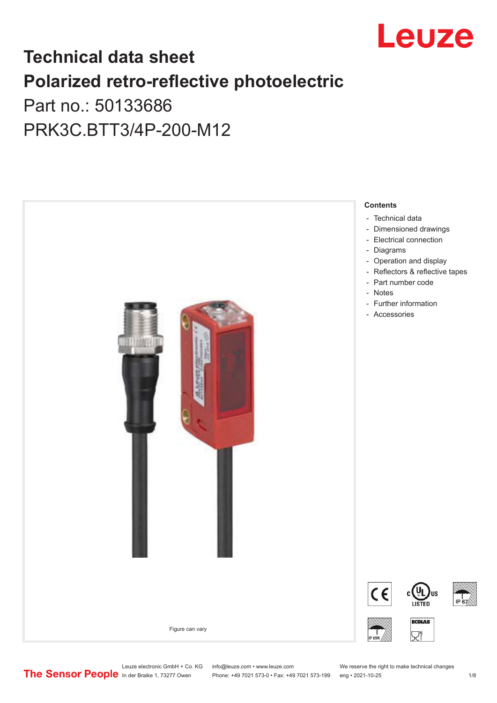

## **Technical data sheet Polarized retro-reflective photoelectric**  Part no.: 50133686

PRK3C.BTT3/4P-200-M12



Leuze electronic GmbH + Co. KG info@leuze.com • www.leuze.com We reserve the right to make technical changes<br>
The Sensor People in der Braike 1, 73277 Owen Phone: +49 7021 573-0 • Fax: +49 7021 573-199 eng • 2021-10-25

Phone: +49 7021 573-0 • Fax: +49 7021 573-199 eng • 2021-10-25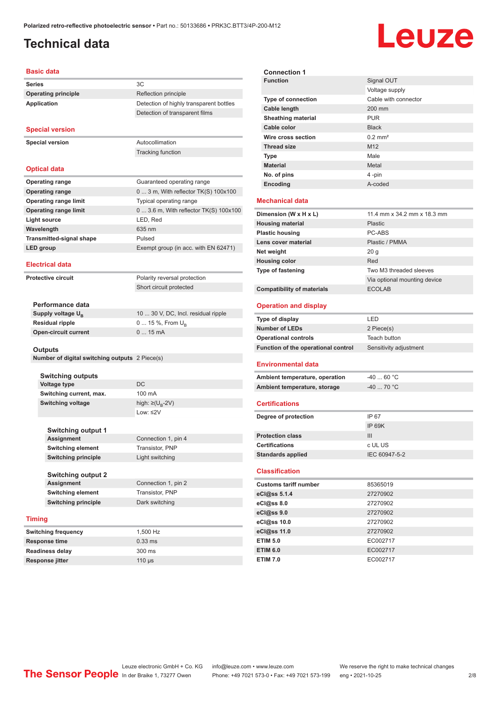## <span id="page-1-0"></span>**Technical data**

# Leuze

#### **Basic data**

| <b>Series</b>              |    |
|----------------------------|----|
| <b>Operating principle</b> | ₹e |
| Application                | 9ρ |

#### **Special version**

**Special version** Autocollimation

Tracking function

**Operating principle** Reflection principle

**Detection of highly transparent bottles** Detection of transparent films

#### **Optical data**

| <b>Operating range</b>          | Guaranteed operating range              |
|---------------------------------|-----------------------------------------|
| <b>Operating range</b>          | $0$ 3 m, With reflector TK(S) $100x100$ |
| <b>Operating range limit</b>    | Typical operating range                 |
| <b>Operating range limit</b>    | 0  3.6 m, With reflector TK(S) 100x100  |
| Light source                    | LED, Red                                |
| Wavelength                      | 635 nm                                  |
| <b>Transmitted-signal shape</b> | Pulsed                                  |
| LED group                       | Exempt group (in acc. with EN 62471)    |
|                                 |                                         |

#### **Electrical data**

**Protective circuit** 

| Polarity reversal protection |
|------------------------------|
| Short circuit protected      |

| Performance data              |                                     |
|-------------------------------|-------------------------------------|
| Supply voltage U <sub>n</sub> | 10  30 V, DC, Incl. residual ripple |
| Residual ripple               | 0  15 %, From $U_{\rm p}$           |
| Open-circuit current          | $015$ mA                            |
|                               |                                     |

#### **Outputs**

**Number of digital switching outputs** 2 Piece(s)

#### **Switching outputs Voltage type** DC **Switching current, max.** 100 mA **Switching voltage**

high:  $\geq (U_{\text{B}} - 2V)$ Low: ≤2V

| <b>Switching output 1</b>  |                     |
|----------------------------|---------------------|
| <b>Assignment</b>          | Connection 1, pin 4 |
| <b>Switching element</b>   | Transistor, PNP     |
| <b>Switching principle</b> | Light switching     |

| Switching output 2  |                     |
|---------------------|---------------------|
| Assignment          | Connection 1, pin 2 |
| Switching element   | Transistor, PNP     |
| Switching principle | Dark switching      |

#### **Timing**

| <b>Switching frequency</b> | 1.500 Hz         |
|----------------------------|------------------|
| Response time              | $0.33$ ms        |
| <b>Readiness delay</b>     | $300 \text{ ms}$ |
| <b>Response jitter</b>     | $110$ us         |

| <b>Connection 1</b>                                            |                              |
|----------------------------------------------------------------|------------------------------|
| <b>Function</b>                                                | Signal OUT                   |
|                                                                | Voltage supply               |
| <b>Type of connection</b>                                      | Cable with connector         |
| Cable length                                                   | 200 mm                       |
| <b>Sheathing material</b>                                      | <b>PUR</b>                   |
| Cable color                                                    | <b>Black</b>                 |
| Wire cross section                                             | $0.2$ mm <sup>2</sup>        |
| <b>Thread size</b>                                             | M12                          |
| <b>Type</b>                                                    | Male                         |
| <b>Material</b>                                                | Metal                        |
| No. of pins                                                    | 4-pin                        |
| Encoding                                                       | A-coded                      |
| <b>Mechanical data</b>                                         |                              |
| Dimension (W x H x L)                                          | 11.4 mm x 34.2 mm x 18.3 mm  |
| <b>Housing material</b>                                        | Plastic                      |
| <b>Plastic housing</b>                                         | PC-ABS                       |
| Lens cover material                                            | Plastic / PMMA               |
| Net weight                                                     | 20 <sub>g</sub>              |
| <b>Housing color</b>                                           | Red                          |
| Type of fastening                                              | Two M3 threaded sleeves      |
|                                                                | Via optional mounting device |
| <b>Compatibility of materials</b>                              | <b>ECOLAB</b>                |
| <b>Operation and display</b>                                   |                              |
|                                                                |                              |
| <b>Type of display</b>                                         | LED                          |
| <b>Number of LEDs</b>                                          | 2 Piece(s)                   |
| <b>Operational controls</b>                                    | Teach button                 |
| Function of the operational control                            | Sensitivity adjustment       |
| <b>Environmental data</b>                                      |                              |
|                                                                | $-4060 °C$                   |
| Ambient temperature, operation<br>Ambient temperature, storage | $-40$ 70 °C                  |
|                                                                |                              |
| <b>Certifications</b>                                          |                              |
| Degree of protection                                           | IP 67                        |
|                                                                | IP 69K                       |
| <b>Protection class</b>                                        | Ш                            |
| <b>Certifications</b>                                          | c UL US                      |
| <b>Standards applied</b>                                       | IEC 60947-5-2                |
| <b>Classification</b>                                          |                              |
| <b>Customs tariff number</b>                                   | 85365019                     |
| eCl@ss 5.1.4                                                   | 27270902                     |
| eCl@ss 8.0                                                     | 27270902                     |
| eCl@ss 9.0                                                     | 27270902                     |
| eCl@ss 10.0                                                    | 27270902                     |
| eCl@ss 11.0                                                    | 27270902                     |
| <b>ETIM 5.0</b>                                                | EC002717                     |

**ETIM 7.0** EC002717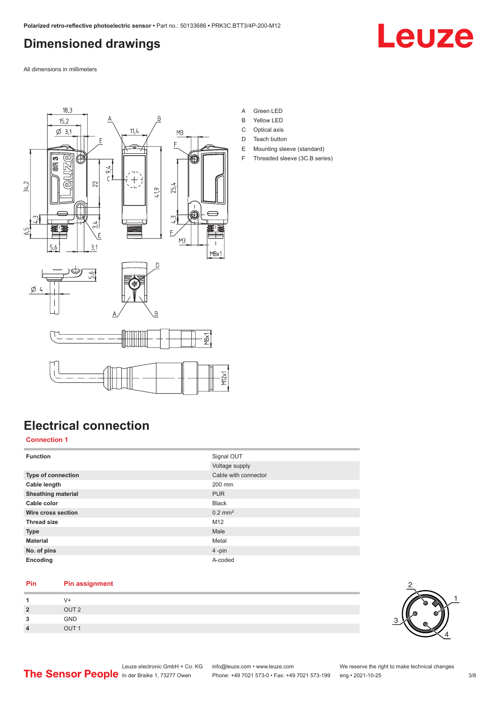## <span id="page-2-0"></span>**Dimensioned drawings**

Leuze

All dimensions in millimeters



**Electrical connection**

#### **Connection 1**

| <b>Function</b>           | Signal OUT            |
|---------------------------|-----------------------|
|                           | Voltage supply        |
| Type of connection        | Cable with connector  |
| Cable length              | 200 mm                |
| <b>Sheathing material</b> | <b>PUR</b>            |
| Cable color               | <b>Black</b>          |
| Wire cross section        | $0.2$ mm <sup>2</sup> |
| <b>Thread size</b>        | M12                   |
| <b>Type</b>               | Male                  |
| <b>Material</b>           | Metal                 |
| No. of pins               | 4-pin                 |
| Encoding                  | A-coded               |

#### **Pin Pin assignment**

|                  | V+               |
|------------------|------------------|
| $\overline{2}$   | OUT <sub>2</sub> |
| 3                | GND              |
| $\boldsymbol{4}$ | OUT <sub>1</sub> |

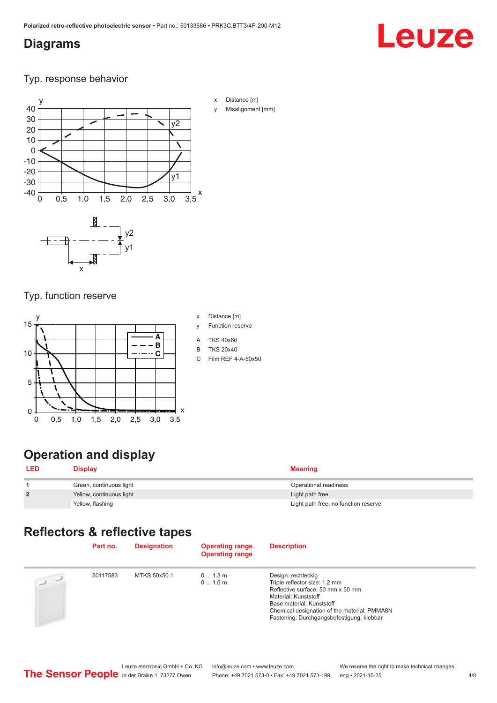### <span id="page-3-0"></span>**Diagrams**

# Leuze

Typ. response behavior



- x Distance [m]
- Misalignment [mm]

Typ. function reserve

x



## **Operation and display**

| <b>LED</b>     | Display                  | <b>Meaning</b>                       |
|----------------|--------------------------|--------------------------------------|
|                | Green, continuous light  | Operational readiness                |
| $\overline{2}$ | Yellow, continuous light | Light path free                      |
|                | Yellow, flashing         | Light path free, no function reserve |

## **Reflectors & reflective tapes**

|                | Part no. | <b>Designation</b> | <b>Operating range</b><br><b>Operating range</b> | <b>Description</b>                                                                                                                                                                                                                         |
|----------------|----------|--------------------|--------------------------------------------------|--------------------------------------------------------------------------------------------------------------------------------------------------------------------------------------------------------------------------------------------|
| $\overline{u}$ | 50117583 | MTKS 50x50.1       | 01.3m<br>01.6m                                   | Design: rechteckig<br>Triple reflector size: 1.2 mm<br>Reflective surface: 50 mm x 50 mm<br>Material: Kunststoff<br>Base material: Kunststoff<br>Chemical designation of the material: PMMA8N<br>Fastening: Durchgangsbefestigung, klebbar |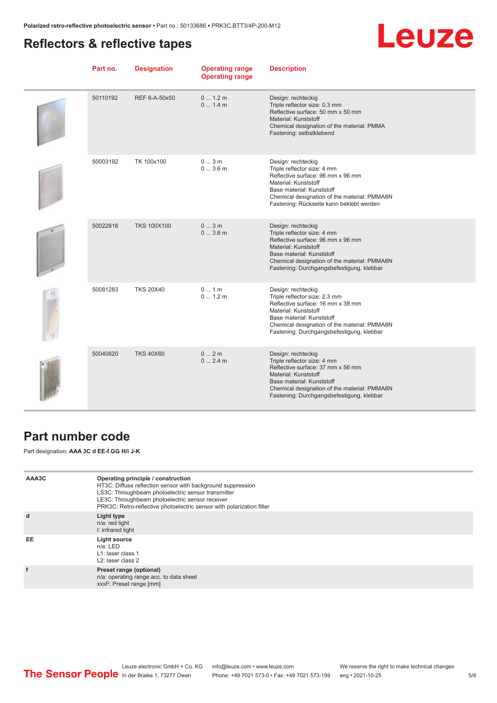## <span id="page-4-0"></span>**Reflectors & reflective tapes**



| Part no. | <b>Designation</b> | <b>Operating range</b><br><b>Operating range</b> | <b>Description</b>                                                                                                                                                                                                                         |
|----------|--------------------|--------------------------------------------------|--------------------------------------------------------------------------------------------------------------------------------------------------------------------------------------------------------------------------------------------|
| 50110192 | REF 6-A-50x50      | 0 1.2 m<br>01.4m                                 | Design: rechteckig<br>Triple reflector size: 0.3 mm<br>Reflective surface: 50 mm x 50 mm<br>Material: Kunststoff<br>Chemical designation of the material: PMMA<br>Fastening: selbstklebend                                                 |
| 50003192 | TK 100x100         | 03m<br>03.6m                                     | Design: rechteckig<br>Triple reflector size: 4 mm<br>Reflective surface: 96 mm x 96 mm<br>Material: Kunststoff<br>Base material: Kunststoff<br>Chemical designation of the material: PMMA8N<br>Fastening: Rückseite kann beklebt werden    |
| 50022816 | <b>TKS 100X100</b> | 03m<br>03.6m                                     | Design: rechteckig<br>Triple reflector size: 4 mm<br>Reflective surface: 96 mm x 96 mm<br>Material: Kunststoff<br>Base material: Kunststoff<br>Chemical designation of the material: PMMA8N<br>Fastening: Durchgangsbefestigung, klebbar   |
| 50081283 | <b>TKS 20X40</b>   | 01m<br>01.2m                                     | Design: rechteckig<br>Triple reflector size: 2.3 mm<br>Reflective surface: 16 mm x 38 mm<br>Material: Kunststoff<br>Base material: Kunststoff<br>Chemical designation of the material: PMMA8N<br>Fastening: Durchgangsbefestigung, klebbar |
| 50040820 | <b>TKS 40X60</b>   | 02m<br>02.4m                                     | Design: rechteckig<br>Triple reflector size: 4 mm<br>Reflective surface: 37 mm x 56 mm<br>Material: Kunststoff<br>Base material: Kunststoff<br>Chemical designation of the material: PMMA8N<br>Fastening: Durchgangsbefestigung, klebbar   |

### **Part number code**

Part designation: **AAA 3C d EE-f.GG H/i J-K**

| AAA3C | Operating principle / construction<br>HT3C: Diffuse reflection sensor with background suppression<br>LS3C: Throughbeam photoelectric sensor transmitter<br>LE3C: Throughbeam photoelectric sensor receiver<br>PRK3C: Retro-reflective photoelectric sensor with polarization filter |
|-------|-------------------------------------------------------------------------------------------------------------------------------------------------------------------------------------------------------------------------------------------------------------------------------------|
| d     | Light type<br>n/a: red light<br>I: infrared light                                                                                                                                                                                                                                   |
| EE    | Light source<br>$n/a$ : LED<br>L1: laser class 1<br>L <sub>2</sub> : laser class 2                                                                                                                                                                                                  |
|       | Preset range (optional)<br>n/a: operating range acc. to data sheet<br>xxxF: Preset range [mm]                                                                                                                                                                                       |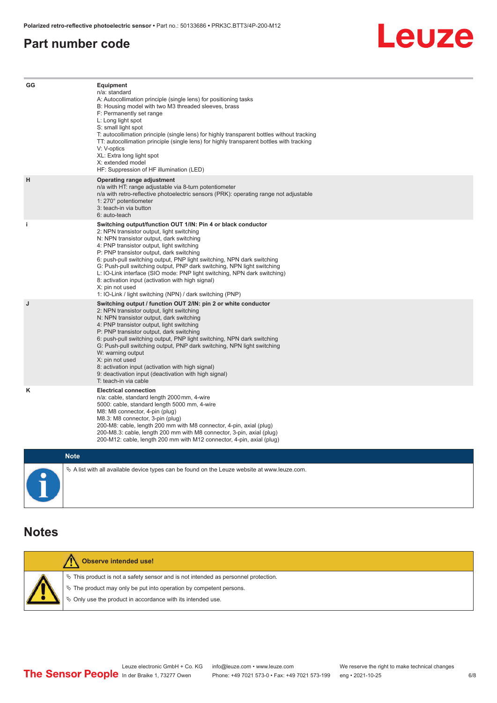#### <span id="page-5-0"></span>**Part number code**



| GG          | Equipment<br>n/a: standard<br>A: Autocollimation principle (single lens) for positioning tasks<br>B: Housing model with two M3 threaded sleeves, brass<br>F: Permanently set range<br>L: Long light spot<br>S: small light spot<br>T: autocollimation principle (single lens) for highly transparent bottles without tracking<br>TT: autocollimation principle (single lens) for highly transparent bottles with tracking<br>V: V-optics<br>XL: Extra long light spot<br>X: extended model<br>HF: Suppression of HF illumination (LED)                                                                              |
|-------------|---------------------------------------------------------------------------------------------------------------------------------------------------------------------------------------------------------------------------------------------------------------------------------------------------------------------------------------------------------------------------------------------------------------------------------------------------------------------------------------------------------------------------------------------------------------------------------------------------------------------|
| н           | Operating range adjustment<br>n/a with HT: range adjustable via 8-turn potentiometer<br>n/a with retro-reflective photoelectric sensors (PRK): operating range not adjustable<br>1: 270° potentiometer<br>3: teach-in via button<br>6: auto-teach                                                                                                                                                                                                                                                                                                                                                                   |
| i.          | Switching output/function OUT 1/IN: Pin 4 or black conductor<br>2: NPN transistor output, light switching<br>N: NPN transistor output, dark switching<br>4: PNP transistor output, light switching<br>P: PNP transistor output, dark switching<br>6: push-pull switching output, PNP light switching, NPN dark switching<br>G: Push-pull switching output, PNP dark switching, NPN light switching<br>L: IO-Link interface (SIO mode: PNP light switching, NPN dark switching)<br>8: activation input (activation with high signal)<br>X: pin not used<br>1: IO-Link / light switching (NPN) / dark switching (PNP) |
| J           | Switching output / function OUT 2/IN: pin 2 or white conductor<br>2: NPN transistor output, light switching<br>N: NPN transistor output, dark switching<br>4: PNP transistor output, light switching<br>P: PNP transistor output, dark switching<br>6: push-pull switching output, PNP light switching, NPN dark switching<br>G: Push-pull switching output, PNP dark switching, NPN light switching<br>W: warning output<br>X: pin not used<br>8: activation input (activation with high signal)<br>9: deactivation input (deactivation with high signal)<br>T: teach-in via cable                                 |
| κ           | <b>Electrical connection</b><br>n/a: cable, standard length 2000 mm, 4-wire<br>5000: cable, standard length 5000 mm, 4-wire<br>M8: M8 connector, 4-pin (plug)<br>M8.3: M8 connector, 3-pin (plug)<br>200-M8: cable, length 200 mm with M8 connector, 4-pin, axial (plug)<br>200-M8.3: cable, length 200 mm with M8 connector, 3-pin, axial (plug)<br>200-M12: cable, length 200 mm with M12 connector, 4-pin, axial (plug)                                                                                                                                                                                          |
| <b>Note</b> |                                                                                                                                                                                                                                                                                                                                                                                                                                                                                                                                                                                                                     |

 $\blacksquare$ 

 $\&$  A list with all available device types can be found on the Leuze website at www.leuze.com.

#### **Notes**

| Observe intended use!                                                                 |
|---------------------------------------------------------------------------------------|
| $\%$ This product is not a safety sensor and is not intended as personnel protection. |
| $\&$ The product may only be put into operation by competent persons.                 |
| $\%$ Only use the product in accordance with its intended use.                        |
|                                                                                       |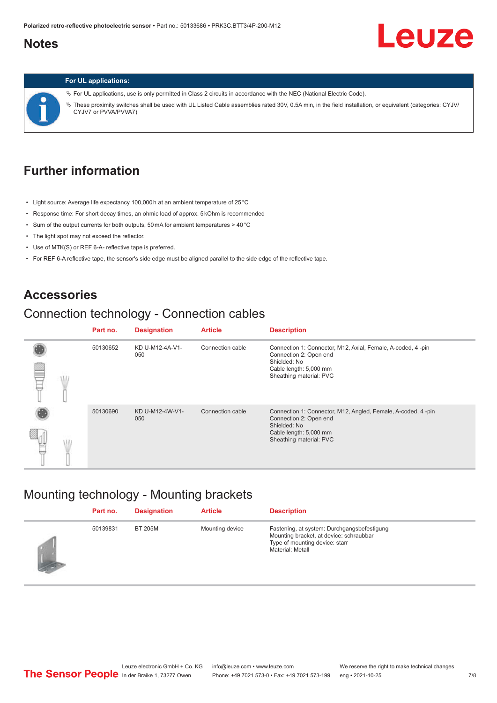#### <span id="page-6-0"></span>**Notes**

## Leuze

#### **For UL applications:**

ª For UL applications, use is only permitted in Class 2 circuits in accordance with the NEC (National Electric Code). ª These proximity switches shall be used with UL Listed Cable assemblies rated 30V, 0.5A min, in the field installation, or equivalent (categories: CYJV/ CYJV7 or PVVA/PVVA7)

#### **Further information**

- Light source: Average life expectancy 100,000 h at an ambient temperature of 25 °C
- Response time: For short decay times, an ohmic load of approx. 5 kOhm is recommended
- Sum of the output currents for both outputs, 50 mA for ambient temperatures > 40 °C
- The light spot may not exceed the reflector.
- Use of MTK(S) or REF 6-A- reflective tape is preferred.
- For REF 6-A reflective tape, the sensor's side edge must be aligned parallel to the side edge of the reflective tape.

#### **Accessories**

#### Connection technology - Connection cables

|  | Part no. | <b>Designation</b>     | <b>Article</b>   | <b>Description</b>                                                                     |
|--|----------|------------------------|------------------|----------------------------------------------------------------------------------------|
|  | 50130652 | KD U-M12-4A-V1-<br>050 | Connection cable | Connection 1: Connector, M12, Axial, Female, A-coded, 4-pin<br>Connection 2: Open end  |
|  |          |                        |                  | Shielded: No<br>Cable length: 5,000 mm<br>Sheathing material: PVC                      |
|  | 50130690 | KD U-M12-4W-V1-<br>050 | Connection cable | Connection 1: Connector, M12, Angled, Female, A-coded, 4-pin<br>Connection 2: Open end |
|  |          |                        |                  | Shielded: No<br>Cable length: 5,000 mm<br>Sheathing material: PVC                      |

#### Mounting technology - Mounting brackets

|            | Part no. | <b>Designation</b> | <b>Article</b>  | <b>Description</b>                                                                                                                           |
|------------|----------|--------------------|-----------------|----------------------------------------------------------------------------------------------------------------------------------------------|
| <b>SEP</b> | 50139831 | <b>BT 205M</b>     | Mounting device | Fastening, at system: Durchgangsbefestigung<br>Mounting bracket, at device: schraubbar<br>Type of mounting device: starr<br>Material: Metall |